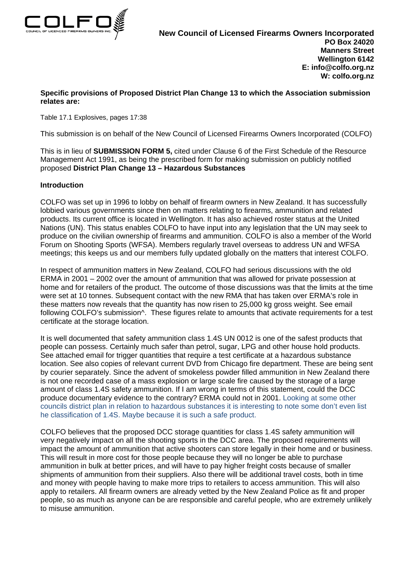

## **Specific provisions of Proposed District Plan Change 13 to which the Association submission relates are:**

Table 17.1 Explosives, pages 17:38

This submission is on behalf of the New Council of Licensed Firearms Owners Incorporated (COLFO)

This is in lieu of **SUBMISSION FORM 5,** cited under Clause 6 of the First Schedule of the Resource Management Act 1991, as being the prescribed form for making submission on publicly notified proposed **District Plan Change 13 – Hazardous Substances**

## **Introduction**

COLFO was set up in 1996 to lobby on behalf of firearm owners in New Zealand. It has successfully lobbied various governments since then on matters relating to firearms, ammunition and related products. Its current office is located in Wellington. It has also achieved roster status at the United Nations (UN). This status enables COLFO to have input into any legislation that the UN may seek to produce on the civilian ownership of firearms and ammunition. COLFO is also a member of the World Forum on Shooting Sports (WFSA). Members regularly travel overseas to address UN and WFSA meetings; this keeps us and our members fully updated globally on the matters that interest COLFO.

In respect of ammunition matters in New Zealand, COLFO had serious discussions with the old ERMA in 2001 – 2002 over the amount of ammunition that was allowed for private possession at home and for retailers of the product. The outcome of those discussions was that the limits at the time were set at 10 tonnes. Subsequent contact with the new RMA that has taken over ERMA's role in these matters now reveals that the quantity has now risen to 25,000 kg gross weight. See email following COLFO's submission<sup>^</sup>. These figures relate to amounts that activate requirements for a test certificate at the storage location.

It is well documented that safety ammunition class 1.4S UN 0012 is one of the safest products that people can possess. Certainly much safer than petrol, sugar, LPG and other house hold products. See attached email for trigger quantities that require a test certificate at a hazardous substance location. See also copies of relevant current DVD from Chicago fire department. These are being sent by courier separately. Since the advent of smokeless powder filled ammunition in New Zealand there is not one recorded case of a mass explosion or large scale fire caused by the storage of a large amount of class 1.4S safety ammunition. If I am wrong in terms of this statement, could the DCC produce documentary evidence to the contrary? ERMA could not in 2001. Looking at some other councils district plan in relation to hazardous substances it is interesting to note some don't even list he classification of 1.4S. Maybe because it is such a safe product.

COLFO believes that the proposed DCC storage quantities for class 1.4S safety ammunition will very negatively impact on all the shooting sports in the DCC area. The proposed requirements will impact the amount of ammunition that active shooters can store legally in their home and or business. This will result in more cost for those people because they will no longer be able to purchase ammunition in bulk at better prices, and will have to pay higher freight costs because of smaller shipments of ammunition from their suppliers. Also there will be additional travel costs, both in time and money with people having to make more trips to retailers to access ammunition. This will also apply to retailers. All firearm owners are already vetted by the New Zealand Police as fit and proper people, so as much as anyone can be are responsible and careful people, who are extremely unlikely to misuse ammunition.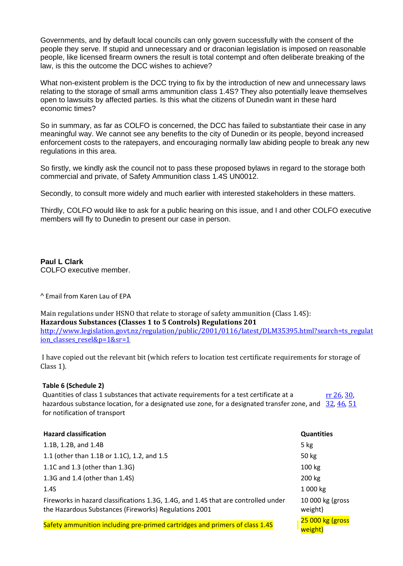Governments, and by default local councils can only govern successfully with the consent of the people they serve. If stupid and unnecessary and or draconian legislation is imposed on reasonable people, like licensed firearm owners the result is total contempt and often deliberate breaking of the law, is this the outcome the DCC wishes to achieve?

What non-existent problem is the DCC trying to fix by the introduction of new and unnecessary laws relating to the storage of small arms ammunition class 1.4S? They also potentially leave themselves open to lawsuits by affected parties. Is this what the citizens of Dunedin want in these hard economic times?

So in summary, as far as COLFO is concerned, the DCC has failed to substantiate their case in any meaningful way. We cannot see any benefits to the city of Dunedin or its people, beyond increased enforcement costs to the ratepayers, and encouraging normally law abiding people to break any new regulations in this area.

So firstly, we kindly ask the council not to pass these proposed bylaws in regard to the storage both commercial and private, of Safety Ammunition class 1.4S UN0012.

Secondly, to consult more widely and much earlier with interested stakeholders in these matters.

Thirdly, COLFO would like to ask for a public hearing on this issue, and I and other COLFO executive members will fly to Dunedin to present our case in person.

**Paul L Clark** COLFO executive member.

^ Email from Karen Lau of EPA

Main regulations under HSNO that relate to storage of safety ammunition (Class 1.4S): **Hazardous Substances (Classes 1 to 5 Controls) Regulations 201** [http://www.legislation.govt.nz/regulation/public/2001/0116/latest/DLM35395.html?search=ts\\_regulat](http://www.legislation.govt.nz/regulation/public/2001/0116/latest/DLM35395.html?search=ts_regulation_classes_resel&p=1&sr=1) [ion\\_classes\\_resel&p=1&sr=1](http://www.legislation.govt.nz/regulation/public/2001/0116/latest/DLM35395.html?search=ts_regulation_classes_resel&p=1&sr=1)

I have copied out the relevant bit (which refers to location test certificate requirements for storage of Class 1).

## **Table 6 (Schedule 2)**

Quantities of class 1 substances that activate requirements for a test certificate at a hazardous substance location, for a designated use zone, for a designated transfer zone, and [32,](http://www.legislation.govt.nz/regulation/public/2001/0116/latest/link.aspx?search=ts_regulation_classes_resel&p=1&id=DLM36667) [46,](http://www.legislation.govt.nz/regulation/public/2001/0116/latest/link.aspx?search=ts_regulation_classes_resel&p=1&id=DLM36699) [51](http://www.legislation.govt.nz/regulation/public/2001/0116/latest/link.aspx?search=ts_regulation_classes_resel&p=1&id=DLM37310) for notification of transport [rr 26,](http://www.legislation.govt.nz/regulation/public/2001/0116/latest/link.aspx?search=ts_regulation_classes_resel&p=1&id=DLM36642) [30,](http://www.legislation.govt.nz/regulation/public/2001/0116/latest/link.aspx?search=ts_regulation_classes_resel&p=1&id=DLM36652) 

| <b>Hazard classification</b>                                                                                                                | <b>Quantities</b>            |
|---------------------------------------------------------------------------------------------------------------------------------------------|------------------------------|
| 1.1B, 1.2B, and 1.4B                                                                                                                        | $5$ kg                       |
| 1.1 (other than 1.1B or 1.1C), 1.2, and 1.5                                                                                                 | 50 kg                        |
| 1.1C and 1.3 (other than 1.3G)                                                                                                              | 100 kg                       |
| 1.3G and 1.4 (other than 1.4S)                                                                                                              | 200 kg                       |
| 1.4S                                                                                                                                        | 1 000 kg                     |
| Fireworks in hazard classifications 1.3G, 1.4G, and 1.4S that are controlled under<br>the Hazardous Substances (Fireworks) Regulations 2001 | 10 000 kg (gross)<br>weight) |
| Safety ammunition including pre-primed cartridges and primers of class 1.4S                                                                 | 25 000 kg (gross<br>weight)  |